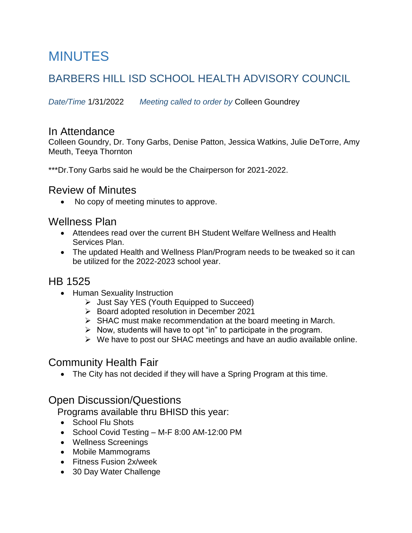# MINUTES

# BARBERS HILL ISD SCHOOL HEALTH ADVISORY COUNCIL

*Date/Time* 1/31/2022 *Meeting called to order by* Colleen Goundrey

#### In Attendance

Colleen Goundry, Dr. Tony Garbs, Denise Patton, Jessica Watkins, Julie DeTorre, Amy Meuth, Teeya Thornton

\*\*\*Dr.Tony Garbs said he would be the Chairperson for 2021-2022.

#### Review of Minutes

• No copy of meeting minutes to approve.

#### Wellness Plan

- Attendees read over the current BH Student Welfare Wellness and Health Services Plan.
- The updated Health and Wellness Plan/Program needs to be tweaked so it can be utilized for the 2022-2023 school year.

## HB 1525

- Human Sexuality Instruction
	- $\triangleright$  Just Say YES (Youth Equipped to Succeed)
	- $\triangleright$  Board adopted resolution in December 2021
	- $\triangleright$  SHAC must make recommendation at the board meeting in March.
	- $\triangleright$  Now, students will have to opt "in" to participate in the program.
	- $\triangleright$  We have to post our SHAC meetings and have an audio available online.

### Community Health Fair

• The City has not decided if they will have a Spring Program at this time.

#### Open Discussion/Questions

Programs available thru BHISD this year:

- School Flu Shots
- School Covid Testing M-F 8:00 AM-12:00 PM
- Wellness Screenings
- Mobile Mammograms
- Fitness Fusion 2x/week
- 30 Day Water Challenge